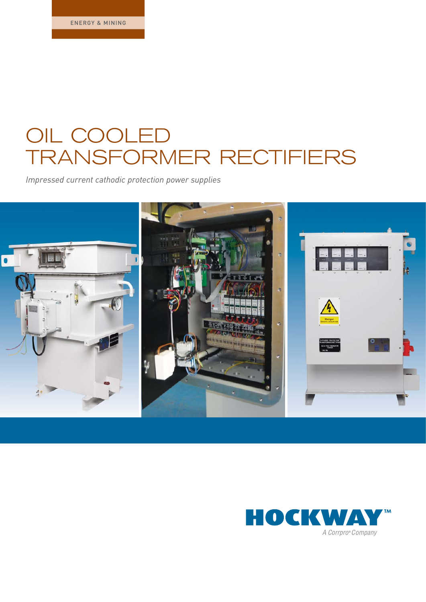# OIL COOLED TRANSFORMER RECTIFIERS

*Impressed current cathodic protection power supplies*



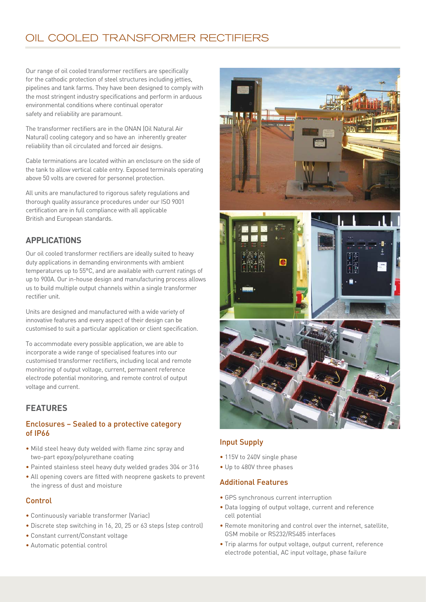# OIL COOLED TRANSFORMER RECTIFIERS

Our range of oil cooled transformer rectifiers are specifically for the cathodic protection of steel structures including jetties, pipelines and tank farms. They have been designed to comply with the most stringent industry specifications and perform in arduous environmental conditions where continual operator safety and reliability are paramount.

The transformer rectifiers are in the ONAN (Oil Natural Air Natural) cooling category and so have an inherently greater reliability than oil circulated and forced air designs.

Cable terminations are located within an enclosure on the side of the tank to allow vertical cable entry. Exposed terminals operating above 50 volts are covered for personnel protection.

All units are manufactured to rigorous safety regulations and thorough quality assurance procedures under our ISO 9001 certification are in full compliance with all applicable British and European standards.

# **APPLICATIONS**

Our oil cooled transformer rectifiers are ideally suited to heavy duty applications in demanding environments with ambient temperatures up to 55°C, and are available with current ratings of up to 900A. Our in-house design and manufacturing process allows us to build multiple output channels within a single transformer rectifier unit.

Units are designed and manufactured with a wide variety of innovative features and every aspect of their design can be customised to suit a particular application or client specification.

To accommodate every possible application, we are able to incorporate a wide range of specialised features into our customised transformer rectifiers, including local and remote monitoring of output voltage, current, permanent reference electrode potential monitoring, and remote control of output voltage and current.

# **FEATURES**

#### Enclosures – Sealed to a protective category of IP66

- Mild steel heavy duty welded with flame zinc spray and two-part epoxy/polyurethane coating
- Painted stainless steel heavy duty welded grades 304 or 316
- All opening covers are fitted with neoprene gaskets to prevent the ingress of dust and moisture

#### Control

- Continuously variable transformer (Variac)
- Discrete step switching in 16, 20, 25 or 63 steps (step control)
- Constant current/Constant voltage
- Automatic potential control





#### Input Supply

- 115V to 240V single phase
- Up to 480V three phases

#### Additional Features

- GPS synchronous current interruption
- Data logging of output voltage, current and reference cell potential
- Remote monitoring and control over the internet, satellite, GSM mobile or RS232/RS485 interfaces
- Trip alarms for output voltage, output current, reference electrode potential, AC input voltage, phase failure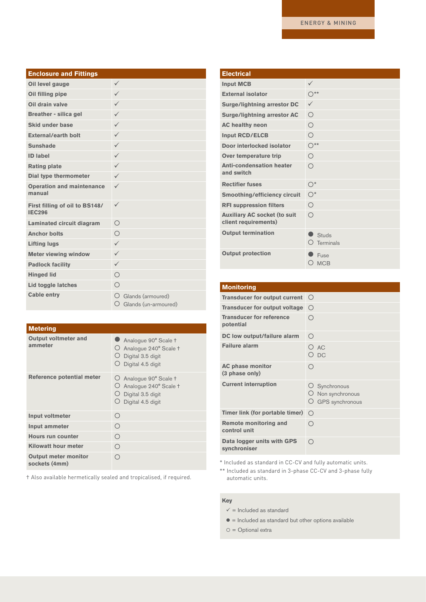| <b>Enclosure and Fittings</b>                   |                                                   |
|-------------------------------------------------|---------------------------------------------------|
| Oil level gauge                                 | $\checkmark$                                      |
| Oil filling pipe                                | $\checkmark$                                      |
| Oil drain valve                                 | $\checkmark$                                      |
| <b>Breather - silica gel</b>                    | $\checkmark$                                      |
| <b>Skid under base</b>                          | $\checkmark$                                      |
| <b>External/earth bolt</b>                      | $\checkmark$                                      |
| <b>Sunshade</b>                                 | $\checkmark$                                      |
| <b>ID label</b>                                 | $\checkmark$                                      |
| <b>Rating plate</b>                             | $\checkmark$                                      |
| Dial type thermometer                           | $\checkmark$                                      |
| <b>Operation and maintenance</b><br>manual      | $\checkmark$                                      |
| First filling of oil to BS148/<br><b>IEC296</b> | $\checkmark$                                      |
| Laminated circuit diagram                       | $\bigcirc$                                        |
| <b>Anchor bolts</b>                             | $\bigcirc$                                        |
| <b>Lifting lugs</b>                             | $\checkmark$                                      |
| <b>Meter viewing window</b>                     | $\checkmark$                                      |
| <b>Padlock facility</b>                         | $\checkmark$                                      |
| <b>Hinged lid</b>                               | $\bigcirc$                                        |
| Lid toggle latches                              | $\bigcirc$                                        |
| <b>Cable entry</b>                              | O Glands (armoured)<br>O.<br>Glands (un-armoured) |

| <b>Metering</b>                              |                                                                                                                              |
|----------------------------------------------|------------------------------------------------------------------------------------------------------------------------------|
| <b>Output voltmeter and</b><br>ammeter       | Analogue 90° Scale †<br>Analogue 240° Scale +<br>$\cup$<br>$\bigcirc$ Digital 3.5 digit<br>$\bigcirc$ Digital 4.5 digit      |
| Reference potential meter                    | Analogue 90° Scale †<br>Ő.<br>Analogue 240° Scale +<br>$\cup$<br>$\bigcirc$ Digital 3.5 digit<br>Digital 4.5 digit<br>$\cup$ |
| <b>Input voltmeter</b>                       | ∩                                                                                                                            |
| <b>Input ammeter</b>                         | ∩                                                                                                                            |
| <b>Hours run counter</b>                     | ∩                                                                                                                            |
| Kilowatt hour meter                          | ∩                                                                                                                            |
| <b>Output meter monitor</b><br>sockets (4mm) | ∩                                                                                                                            |

† Also available hermetically sealed and tropicalised, if required.

#### **Electrical**

| ✓                  |
|--------------------|
| $\bigcap$ **       |
| ✓                  |
| ∩                  |
| $\bigcirc$         |
| ∩                  |
| ∩**                |
| $\bigcirc$         |
| ∩                  |
| $O^*$              |
| $O^*$              |
| $\bigcirc$         |
| ∩                  |
| Studs<br>Terminals |
| Fuse<br><b>MCB</b> |
|                    |

#### **Monitoring**

| <b>Transducer for output current</b>         | $\left(\begin{array}{c} \end{array}\right)$           |  |  |
|----------------------------------------------|-------------------------------------------------------|--|--|
| <b>Transducer for output voltage</b>         | ∩                                                     |  |  |
| <b>Transducer for reference</b><br>potential | ∩                                                     |  |  |
| DC low output/failure alarm                  | ∩                                                     |  |  |
| <b>Failure alarm</b>                         | O AC<br>О рс                                          |  |  |
| <b>AC phase monitor</b><br>(3 phase only)    | ∩                                                     |  |  |
| <b>Current interruption</b>                  | O Synchronous<br>Non synchronous<br>O GPS synchronous |  |  |
| Timer link (for portable timer)              | ∩                                                     |  |  |
| <b>Remote monitoring and</b><br>control unit | ∩                                                     |  |  |
| Data logger units with GPS<br>synchroniser   | ∩                                                     |  |  |

\* Included as standard in CC-CV and fully automatic units.

\*\* Included as standard in 3-phase CC-CV and 3-phase fully automatic units.

#### **Key**

 $\checkmark$  = Included as standard

 $\bullet$  = Included as standard but other options available

 $O =$  Optional extra